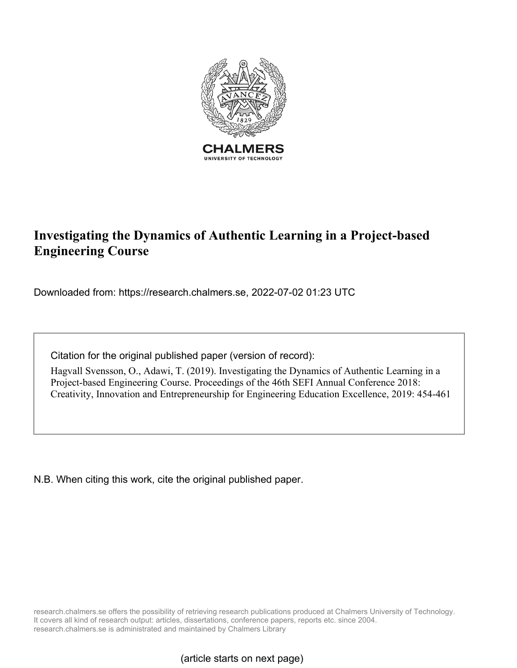

# **Investigating the Dynamics of Authentic Learning in a Project-based Engineering Course**

Downloaded from: https://research.chalmers.se, 2022-07-02 01:23 UTC

Citation for the original published paper (version of record):

Hagvall Svensson, O., Adawi, T. (2019). Investigating the Dynamics of Authentic Learning in a Project-based Engineering Course. Proceedings of the 46th SEFI Annual Conference 2018: Creativity, Innovation and Entrepreneurship for Engineering Education Excellence, 2019: 454-461

N.B. When citing this work, cite the original published paper.

research.chalmers.se offers the possibility of retrieving research publications produced at Chalmers University of Technology. It covers all kind of research output: articles, dissertations, conference papers, reports etc. since 2004. research.chalmers.se is administrated and maintained by Chalmers Library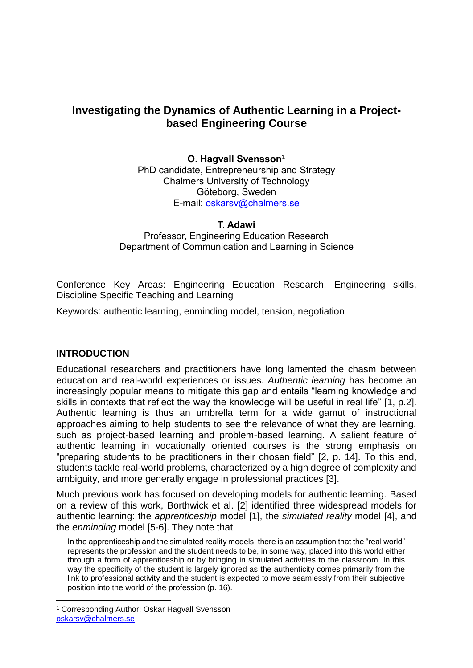# **Investigating the Dynamics of Authentic Learning in a Projectbased Engineering Course**

**O. Hagvall Svensson<sup>1</sup>** PhD candidate, Entrepreneurship and Strategy Chalmers University of Technology Göteborg, Sweden E-mail: [oskarsv@chalmers.se](mailto:oskarsv@chalmers.se)

**T. Adawi**

Professor, Engineering Education Research Department of Communication and Learning in Science

Conference Key Areas: Engineering Education Research, Engineering skills, Discipline Specific Teaching and Learning

Keywords: authentic learning, enminding model, tension, negotiation

#### **INTRODUCTION**

 $\overline{a}$ 

Educational researchers and practitioners have long lamented the chasm between education and real-world experiences or issues. *Authentic learning* has become an increasingly popular means to mitigate this gap and entails "learning knowledge and skills in contexts that reflect the way the knowledge will be useful in real life" [1, p.2]. Authentic learning is thus an umbrella term for a wide gamut of instructional approaches aiming to help students to see the relevance of what they are learning, such as project-based learning and problem-based learning. A salient feature of authentic learning in vocationally oriented courses is the strong emphasis on "preparing students to be practitioners in their chosen field" [2, p. 14]. To this end, students tackle real-world problems, characterized by a high degree of complexity and ambiguity, and more generally engage in professional practices [3].

Much previous work has focused on developing models for authentic learning. Based on a review of this work, Borthwick et al. [2] identified three widespread models for authentic learning: the *apprenticeship* model [1], the *simulated reality* model [4], and the *enminding* model [5-6]. They note that

In the apprenticeship and the simulated reality models, there is an assumption that the "real world" represents the profession and the student needs to be, in some way, placed into this world either through a form of apprenticeship or by bringing in simulated activities to the classroom. In this way the specificity of the student is largely ignored as the authenticity comes primarily from the link to professional activity and the student is expected to move seamlessly from their subjective position into the world of the profession (p. 16).

<sup>1</sup> Corresponding Author: Oskar Hagvall Svensson [oskarsv@chalmers.se](mailto:oskarsv@chalmers.se)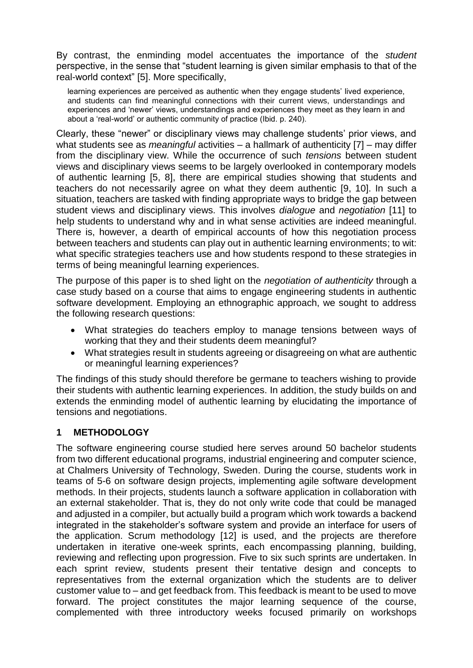By contrast, the enminding model accentuates the importance of the *student* perspective, in the sense that "student learning is given similar emphasis to that of the real-world context" [5]. More specifically,

learning experiences are perceived as authentic when they engage students' lived experience, and students can find meaningful connections with their current views, understandings and experiences and 'newer' views, understandings and experiences they meet as they learn in and about a 'real-world' or authentic community of practice (Ibid. p. 240).

Clearly, these "newer" or disciplinary views may challenge students' prior views, and what students see as *meaningful* activities – a hallmark of authenticity [7] – may differ from the disciplinary view. While the occurrence of such *tensions* between student views and disciplinary views seems to be largely overlooked in contemporary models of authentic learning [5, 8], there are empirical studies showing that students and teachers do not necessarily agree on what they deem authentic [9, 10]. In such a situation, teachers are tasked with finding appropriate ways to bridge the gap between student views and disciplinary views. This involves *dialogue* and *negotiation* [11] to help students to understand why and in what sense activities are indeed meaningful. There is, however, a dearth of empirical accounts of how this negotiation process between teachers and students can play out in authentic learning environments; to wit: what specific strategies teachers use and how students respond to these strategies in terms of being meaningful learning experiences.

The purpose of this paper is to shed light on the *negotiation of authenticity* through a case study based on a course that aims to engage engineering students in authentic software development. Employing an ethnographic approach, we sought to address the following research questions:

- What strategies do teachers employ to manage tensions between ways of working that they and their students deem meaningful?
- What strategies result in students agreeing or disagreeing on what are authentic or meaningful learning experiences?

The findings of this study should therefore be germane to teachers wishing to provide their students with authentic learning experiences. In addition, the study builds on and extends the enminding model of authentic learning by elucidating the importance of tensions and negotiations.

#### **1 METHODOLOGY**

The software engineering course studied here serves around 50 bachelor students from two different educational programs, industrial engineering and computer science, at Chalmers University of Technology, Sweden. During the course, students work in teams of 5-6 on software design projects, implementing agile software development methods. In their projects, students launch a software application in collaboration with an external stakeholder. That is, they do not only write code that could be managed and adjusted in a compiler, but actually build a program which work towards a backend integrated in the stakeholder's software system and provide an interface for users of the application. Scrum methodology [12] is used, and the projects are therefore undertaken in iterative one-week sprints, each encompassing planning, building, reviewing and reflecting upon progression. Five to six such sprints are undertaken. In each sprint review, students present their tentative design and concepts to representatives from the external organization which the students are to deliver customer value to – and get feedback from. This feedback is meant to be used to move forward. The project constitutes the major learning sequence of the course, complemented with three introductory weeks focused primarily on workshops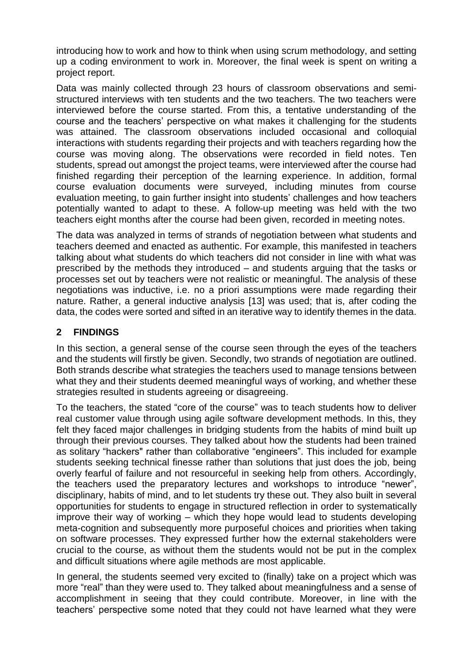introducing how to work and how to think when using scrum methodology, and setting up a coding environment to work in. Moreover, the final week is spent on writing a project report.

Data was mainly collected through 23 hours of classroom observations and semistructured interviews with ten students and the two teachers. The two teachers were interviewed before the course started. From this, a tentative understanding of the course and the teachers' perspective on what makes it challenging for the students was attained. The classroom observations included occasional and colloquial interactions with students regarding their projects and with teachers regarding how the course was moving along. The observations were recorded in field notes. Ten students, spread out amongst the project teams, were interviewed after the course had finished regarding their perception of the learning experience. In addition, formal course evaluation documents were surveyed, including minutes from course evaluation meeting, to gain further insight into students' challenges and how teachers potentially wanted to adapt to these. A follow-up meeting was held with the two teachers eight months after the course had been given, recorded in meeting notes.

The data was analyzed in terms of strands of negotiation between what students and teachers deemed and enacted as authentic. For example, this manifested in teachers talking about what students do which teachers did not consider in line with what was prescribed by the methods they introduced – and students arguing that the tasks or processes set out by teachers were not realistic or meaningful. The analysis of these negotiations was inductive, i.e. no a priori assumptions were made regarding their nature. Rather, a general inductive analysis [13] was used; that is, after coding the data, the codes were sorted and sifted in an iterative way to identify themes in the data.

#### **2 FINDINGS**

In this section, a general sense of the course seen through the eyes of the teachers and the students will firstly be given. Secondly, two strands of negotiation are outlined. Both strands describe what strategies the teachers used to manage tensions between what they and their students deemed meaningful ways of working, and whether these strategies resulted in students agreeing or disagreeing.

To the teachers, the stated "core of the course" was to teach students how to deliver real customer value through using agile software development methods. In this, they felt they faced major challenges in bridging students from the habits of mind built up through their previous courses. They talked about how the students had been trained as solitary "hackers" rather than collaborative "engineers". This included for example students seeking technical finesse rather than solutions that just does the job, being overly fearful of failure and not resourceful in seeking help from others. Accordingly, the teachers used the preparatory lectures and workshops to introduce "newer", disciplinary, habits of mind, and to let students try these out. They also built in several opportunities for students to engage in structured reflection in order to systematically improve their way of working – which they hope would lead to students developing meta-cognition and subsequently more purposeful choices and priorities when taking on software processes. They expressed further how the external stakeholders were crucial to the course, as without them the students would not be put in the complex and difficult situations where agile methods are most applicable.

In general, the students seemed very excited to (finally) take on a project which was more "real" than they were used to. They talked about meaningfulness and a sense of accomplishment in seeing that they could contribute. Moreover, in line with the teachers' perspective some noted that they could not have learned what they were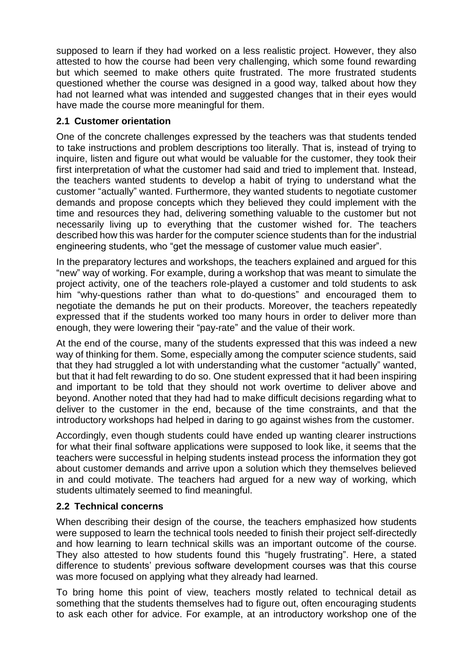supposed to learn if they had worked on a less realistic project. However, they also attested to how the course had been very challenging, which some found rewarding but which seemed to make others quite frustrated. The more frustrated students questioned whether the course was designed in a good way, talked about how they had not learned what was intended and suggested changes that in their eyes would have made the course more meaningful for them.

#### **2.1 Customer orientation**

One of the concrete challenges expressed by the teachers was that students tended to take instructions and problem descriptions too literally. That is, instead of trying to inquire, listen and figure out what would be valuable for the customer, they took their first interpretation of what the customer had said and tried to implement that. Instead, the teachers wanted students to develop a habit of trying to understand what the customer "actually" wanted. Furthermore, they wanted students to negotiate customer demands and propose concepts which they believed they could implement with the time and resources they had, delivering something valuable to the customer but not necessarily living up to everything that the customer wished for. The teachers described how this was harder for the computer science students than for the industrial engineering students, who "get the message of customer value much easier".

In the preparatory lectures and workshops, the teachers explained and argued for this "new" way of working. For example, during a workshop that was meant to simulate the project activity, one of the teachers role-played a customer and told students to ask him "why-questions rather than what to do-questions" and encouraged them to negotiate the demands he put on their products. Moreover, the teachers repeatedly expressed that if the students worked too many hours in order to deliver more than enough, they were lowering their "pay-rate" and the value of their work.

At the end of the course, many of the students expressed that this was indeed a new way of thinking for them. Some, especially among the computer science students, said that they had struggled a lot with understanding what the customer "actually" wanted, but that it had felt rewarding to do so. One student expressed that it had been inspiring and important to be told that they should not work overtime to deliver above and beyond. Another noted that they had had to make difficult decisions regarding what to deliver to the customer in the end, because of the time constraints, and that the introductory workshops had helped in daring to go against wishes from the customer.

Accordingly, even though students could have ended up wanting clearer instructions for what their final software applications were supposed to look like, it seems that the teachers were successful in helping students instead process the information they got about customer demands and arrive upon a solution which they themselves believed in and could motivate. The teachers had argued for a new way of working, which students ultimately seemed to find meaningful.

#### **2.2 Technical concerns**

When describing their design of the course, the teachers emphasized how students were supposed to learn the technical tools needed to finish their project self-directedly and how learning to learn technical skills was an important outcome of the course. They also attested to how students found this "hugely frustrating". Here, a stated difference to students' previous software development courses was that this course was more focused on applying what they already had learned.

To bring home this point of view, teachers mostly related to technical detail as something that the students themselves had to figure out, often encouraging students to ask each other for advice. For example, at an introductory workshop one of the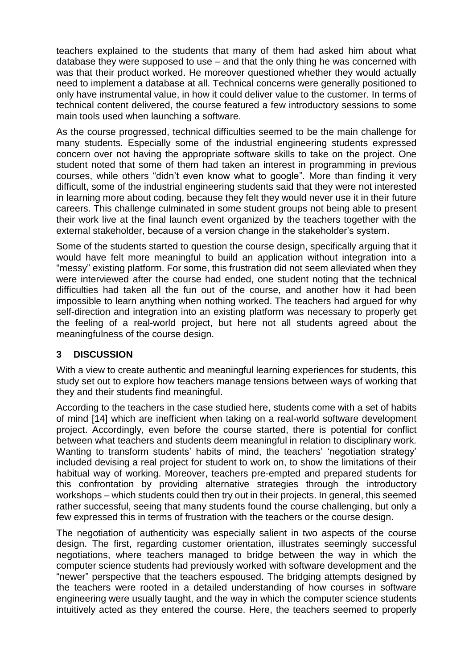teachers explained to the students that many of them had asked him about what database they were supposed to use – and that the only thing he was concerned with was that their product worked. He moreover questioned whether they would actually need to implement a database at all. Technical concerns were generally positioned to only have instrumental value, in how it could deliver value to the customer. In terms of technical content delivered, the course featured a few introductory sessions to some main tools used when launching a software.

As the course progressed, technical difficulties seemed to be the main challenge for many students. Especially some of the industrial engineering students expressed concern over not having the appropriate software skills to take on the project. One student noted that some of them had taken an interest in programming in previous courses, while others "didn't even know what to google". More than finding it very difficult, some of the industrial engineering students said that they were not interested in learning more about coding, because they felt they would never use it in their future careers. This challenge culminated in some student groups not being able to present their work live at the final launch event organized by the teachers together with the external stakeholder, because of a version change in the stakeholder's system.

Some of the students started to question the course design, specifically arguing that it would have felt more meaningful to build an application without integration into a "messy" existing platform. For some, this frustration did not seem alleviated when they were interviewed after the course had ended, one student noting that the technical difficulties had taken all the fun out of the course, and another how it had been impossible to learn anything when nothing worked. The teachers had argued for why self-direction and integration into an existing platform was necessary to properly get the feeling of a real-world project, but here not all students agreed about the meaningfulness of the course design.

#### **3 DISCUSSION**

With a view to create authentic and meaningful learning experiences for students, this study set out to explore how teachers manage tensions between ways of working that they and their students find meaningful.

According to the teachers in the case studied here, students come with a set of habits of mind [14] which are inefficient when taking on a real-world software development project. Accordingly, even before the course started, there is potential for conflict between what teachers and students deem meaningful in relation to disciplinary work. Wanting to transform students' habits of mind, the teachers' 'negotiation strategy' included devising a real project for student to work on, to show the limitations of their habitual way of working. Moreover, teachers pre-empted and prepared students for this confrontation by providing alternative strategies through the introductory workshops – which students could then try out in their projects. In general, this seemed rather successful, seeing that many students found the course challenging, but only a few expressed this in terms of frustration with the teachers or the course design.

The negotiation of authenticity was especially salient in two aspects of the course design. The first, regarding customer orientation, illustrates seemingly successful negotiations, where teachers managed to bridge between the way in which the computer science students had previously worked with software development and the "newer" perspective that the teachers espoused. The bridging attempts designed by the teachers were rooted in a detailed understanding of how courses in software engineering were usually taught, and the way in which the computer science students intuitively acted as they entered the course. Here, the teachers seemed to properly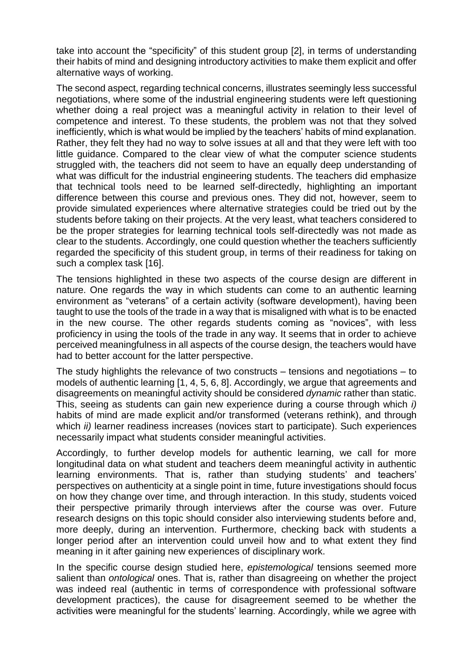take into account the "specificity" of this student group [2], in terms of understanding their habits of mind and designing introductory activities to make them explicit and offer alternative ways of working.

The second aspect, regarding technical concerns, illustrates seemingly less successful negotiations, where some of the industrial engineering students were left questioning whether doing a real project was a meaningful activity in relation to their level of competence and interest. To these students, the problem was not that they solved inefficiently, which is what would be implied by the teachers' habits of mind explanation. Rather, they felt they had no way to solve issues at all and that they were left with too little guidance. Compared to the clear view of what the computer science students struggled with, the teachers did not seem to have an equally deep understanding of what was difficult for the industrial engineering students. The teachers did emphasize that technical tools need to be learned self-directedly, highlighting an important difference between this course and previous ones. They did not, however, seem to provide simulated experiences where alternative strategies could be tried out by the students before taking on their projects. At the very least, what teachers considered to be the proper strategies for learning technical tools self-directedly was not made as clear to the students. Accordingly, one could question whether the teachers sufficiently regarded the specificity of this student group, in terms of their readiness for taking on such a complex task [16].

The tensions highlighted in these two aspects of the course design are different in nature. One regards the way in which students can come to an authentic learning environment as "veterans" of a certain activity (software development), having been taught to use the tools of the trade in a way that is misaligned with what is to be enacted in the new course. The other regards students coming as "novices", with less proficiency in using the tools of the trade in any way. It seems that in order to achieve perceived meaningfulness in all aspects of the course design, the teachers would have had to better account for the latter perspective.

The study highlights the relevance of two constructs – tensions and negotiations – to models of authentic learning [1, 4, 5, 6, 8]. Accordingly, we argue that agreements and disagreements on meaningful activity should be considered *dynamic* rather than static. This, seeing as students can gain new experience during a course through which *i)* habits of mind are made explicit and/or transformed (veterans rethink), and through which *ii)* learner readiness increases (novices start to participate). Such experiences necessarily impact what students consider meaningful activities.

Accordingly, to further develop models for authentic learning, we call for more longitudinal data on what student and teachers deem meaningful activity in authentic learning environments. That is, rather than studying students' and teachers' perspectives on authenticity at a single point in time, future investigations should focus on how they change over time, and through interaction. In this study, students voiced their perspective primarily through interviews after the course was over. Future research designs on this topic should consider also interviewing students before and, more deeply, during an intervention. Furthermore, checking back with students a longer period after an intervention could unveil how and to what extent they find meaning in it after gaining new experiences of disciplinary work.

In the specific course design studied here, *epistemological* tensions seemed more salient than *ontological* ones. That is, rather than disagreeing on whether the project was indeed real (authentic in terms of correspondence with professional software development practices), the cause for disagreement seemed to be whether the activities were meaningful for the students' learning. Accordingly, while we agree with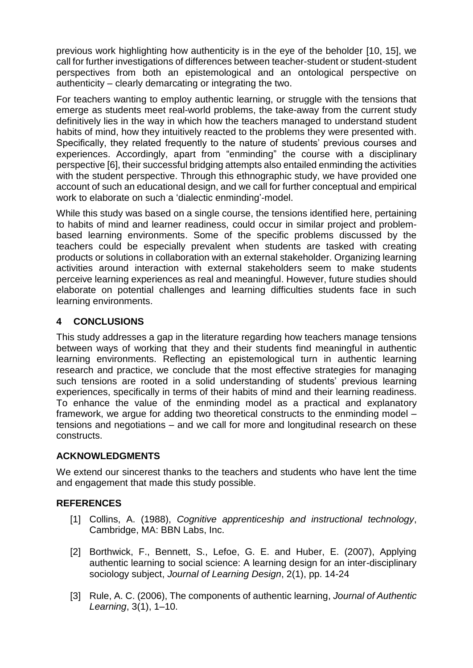previous work highlighting how authenticity is in the eye of the beholder [10, 15], we call for further investigations of differences between teacher-student or student-student perspectives from both an epistemological and an ontological perspective on authenticity – clearly demarcating or integrating the two.

For teachers wanting to employ authentic learning, or struggle with the tensions that emerge as students meet real-world problems, the take-away from the current study definitively lies in the way in which how the teachers managed to understand student habits of mind, how they intuitively reacted to the problems they were presented with. Specifically, they related frequently to the nature of students' previous courses and experiences. Accordingly, apart from "enminding" the course with a disciplinary perspective [6], their successful bridging attempts also entailed enminding the activities with the student perspective. Through this ethnographic study, we have provided one account of such an educational design, and we call for further conceptual and empirical work to elaborate on such a 'dialectic enminding'-model.

While this study was based on a single course, the tensions identified here, pertaining to habits of mind and learner readiness, could occur in similar project and problembased learning environments. Some of the specific problems discussed by the teachers could be especially prevalent when students are tasked with creating products or solutions in collaboration with an external stakeholder. Organizing learning activities around interaction with external stakeholders seem to make students perceive learning experiences as real and meaningful. However, future studies should elaborate on potential challenges and learning difficulties students face in such learning environments.

#### **4 CONCLUSIONS**

This study addresses a gap in the literature regarding how teachers manage tensions between ways of working that they and their students find meaningful in authentic learning environments. Reflecting an epistemological turn in authentic learning research and practice, we conclude that the most effective strategies for managing such tensions are rooted in a solid understanding of students' previous learning experiences, specifically in terms of their habits of mind and their learning readiness. To enhance the value of the enminding model as a practical and explanatory framework, we argue for adding two theoretical constructs to the enminding model – tensions and negotiations – and we call for more and longitudinal research on these constructs.

## **ACKNOWLEDGMENTS**

We extend our sincerest thanks to the teachers and students who have lent the time and engagement that made this study possible.

## **REFERENCES**

- [1] Collins, A. (1988), *Cognitive apprenticeship and instructional technology*, Cambridge, MA: BBN Labs, Inc.
- [2] Borthwick, F., Bennett, S., Lefoe, G. E. and Huber, E. (2007), Applying authentic learning to social science: A learning design for an inter-disciplinary sociology subject, *Journal of Learning Design*, 2(1), pp. 14-24
- [3] Rule, A. C. (2006), The components of authentic learning, *Journal of Authentic Learning*, 3(1), 1–10.